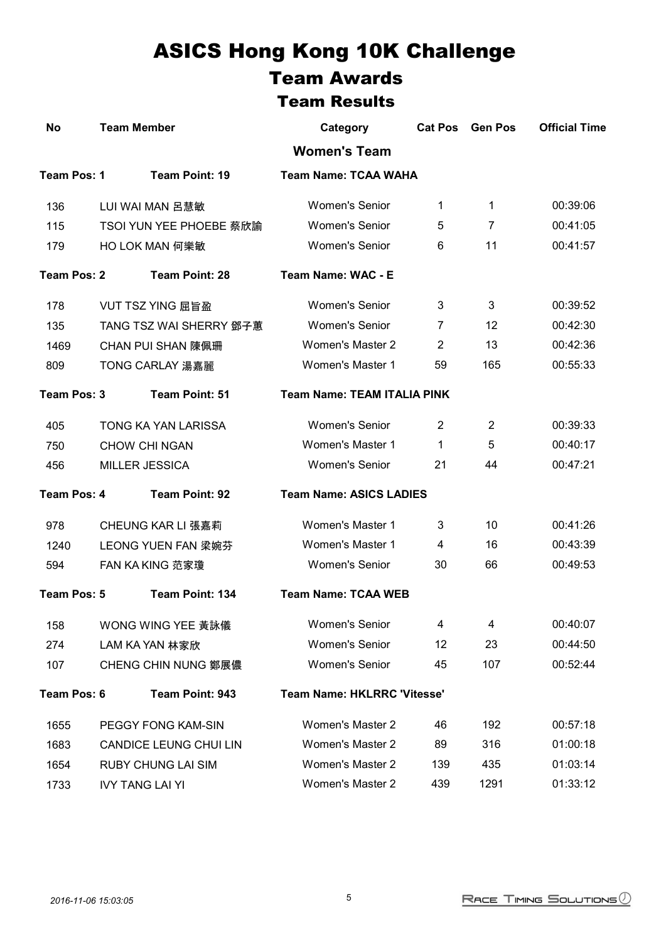## ASICS Hong Kong 10K Challenge Team Awards Team Results

| No                             | <b>Team Member</b>            | Category                           | <b>Cat Pos</b> | <b>Gen Pos</b> | <b>Official Time</b> |  |  |
|--------------------------------|-------------------------------|------------------------------------|----------------|----------------|----------------------|--|--|
|                                |                               | <b>Women's Team</b>                |                |                |                      |  |  |
| Team Pos: 1                    | Team Point: 19                | <b>Team Name: TCAA WAHA</b>        |                |                |                      |  |  |
| 136                            | LUI WAI MAN 呂慧敏               | <b>Women's Senior</b>              | 1              | $\mathbf{1}$   | 00:39:06             |  |  |
| 115                            | TSOI YUN YEE PHOEBE 蔡欣諭       | <b>Women's Senior</b>              | 5              | 7              | 00:41:05             |  |  |
| 179                            | <b>HO LOK MAN 何樂敏</b>         | <b>Women's Senior</b>              | 6              | 11             | 00:41:57             |  |  |
| Team Pos: 2                    | <b>Team Point: 28</b>         | Team Name: WAC - E                 |                |                |                      |  |  |
| 178                            | <b>VUT TSZ YING 屈旨盈</b>       | <b>Women's Senior</b>              | 3              | 3              | 00:39:52             |  |  |
| 135                            | TANG TSZ WAI SHERRY 鄧子蕙       | <b>Women's Senior</b>              | 7              | 12             | 00:42:30             |  |  |
| 1469                           | <b>CHAN PUI SHAN 陳佩珊</b>      | <b>Women's Master 2</b>            | $\overline{2}$ | 13             | 00:42:36             |  |  |
| 809                            | TONG CARLAY 湯嘉麗               | <b>Women's Master 1</b>            | 59             | 165            | 00:55:33             |  |  |
| Team Pos: 3                    | Team Point: 51                | <b>Team Name: TEAM ITALIA PINK</b> |                |                |                      |  |  |
| 405                            | TONG KA YAN LARISSA           | <b>Women's Senior</b>              | $\overline{2}$ | 2              | 00:39:33             |  |  |
| 750                            | <b>CHOW CHI NGAN</b>          | Women's Master 1                   | 1.             | 5              | 00:40:17             |  |  |
| 456                            | <b>MILLER JESSICA</b>         | <b>Women's Senior</b>              | 21             | 44             | 00:47:21             |  |  |
| Team Pos: 4                    | Team Point: 92                | <b>Team Name: ASICS LADIES</b>     |                |                |                      |  |  |
| 978                            | CHEUNG KAR LI 張嘉莉             | Women's Master 1                   | 3              | 10             | 00:41:26             |  |  |
| 1240                           | LEONG YUEN FAN 梁婉芬            | Women's Master 1                   | 4              | 16             | 00:43:39             |  |  |
| 594                            | FAN KA KING 范家瓊               | <b>Women's Senior</b>              | 30             | 66             | 00:49:53             |  |  |
| Team Pos: 5<br>Team Point: 134 |                               | <b>Team Name: TCAA WEB</b>         |                |                |                      |  |  |
| 158                            | WONG WING YEE 黃詠儀             | <b>Women's Senior</b>              | 4              | 4              | 00:40:07             |  |  |
| 274                            | LAM KA YAN 林家欣                | <b>Women's Senior</b>              | 12             | 23             | 00:44:50             |  |  |
| 107                            | <b>CHENG CHIN NUNG 鄭展儂</b>    | <b>Women's Senior</b>              | 45             | 107            | 00:52:44             |  |  |
| Team Pos: 6<br>Team Point: 943 |                               | <b>Team Name: HKLRRC 'Vitesse'</b> |                |                |                      |  |  |
| 1655                           | PEGGY FONG KAM-SIN            | Women's Master 2                   | 46             | 192            | 00:57:18             |  |  |
| 1683                           | <b>CANDICE LEUNG CHUI LIN</b> | <b>Women's Master 2</b>            | 89             | 316            | 01:00:18             |  |  |
| 1654                           | <b>RUBY CHUNG LAI SIM</b>     | <b>Women's Master 2</b>            | 139            | 435            | 01:03:14             |  |  |
| 1733                           | <b>IVY TANG LAI YI</b>        | Women's Master 2                   | 439            | 1291           | 01:33:12             |  |  |